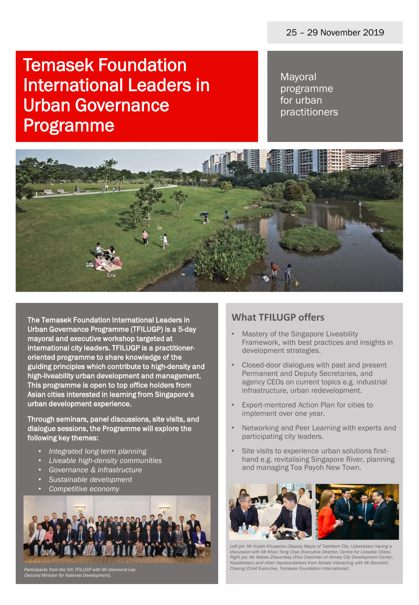# Temasek Foundation International Leaders in Urban Governance Programme

Mayoral programme for urban practitioners



The Temasek Foundation International Leaders in Urban Governance Programme (TFILUGP) is a 5-day mayoral and executive workshop targeted at international city leaders. TFILUGP is a practitioneroriented programme to share knowledge of the guiding principles which contribute to high-density and high-liveability urban development and management. This programme is open to top office holders from Asian cities interested in learning from Singapore's urban development experience.

Through seminars, panel discussions, site visits, and dialogue sessions, the Programme will explore the following key themes:

- *Integrated long-term planning*
- *Liveable high-density communities*
- *Governance & infrastructure*
- *Sustainable development*
- *Competitive economy*



*Participants from the 5th TFILUGP with Mr Desmond Lee (Second Minister for National Development).*

## **What TFILUGP offers**

- Mastery of the Singapore Liveability Framework, with best practices and insights in development strategies.
- Closed-door dialogues with past and present Permanent and Deputy Secretaries, and agency CEOs on current topics e.g. industrial infrastructure, urban redevelopment.
- Expert-mentored Action Plan for cities to implement over one year.
- Networking and Peer Learning with experts and participating city leaders.
- Site visits to experience urban solutions firsthand e.g. revitalising Singapore River, planning and managing Toa Payoh New Town.



*Left pic: Mr Nozim Khusanov (Deputy Mayor of Tashkent City, Uzbekistan) having a discussion with Mr Khoo Teng Chye (Executive Director, Centre for Liveable Cities). Right pic: Mr Aidoes Zhexenbay (Vice Chairman of Almaty City Development Center, Kazakhstan) and other representatives from Almaty interacting with Mr Benedict Cheong (Chief Executive, Temasek Foundation International).*